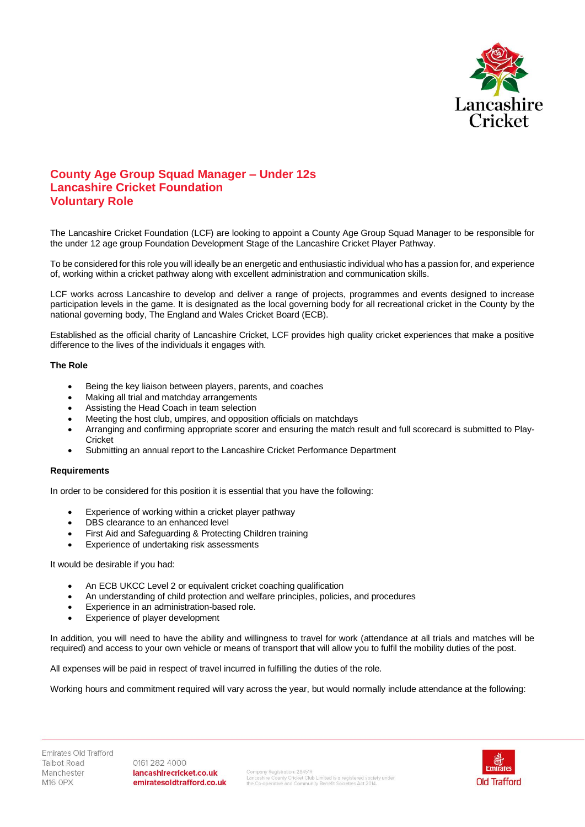

## **County Age Group Squad Manager – Under 12s Lancashire Cricket Foundation Voluntary Role**

The Lancashire Cricket Foundation (LCF) are looking to appoint a County Age Group Squad Manager to be responsible for the under 12 age group Foundation Development Stage of the Lancashire Cricket Player Pathway.

To be considered for this role you will ideally be an energetic and enthusiastic individual who has a passion for, and experience of, working within a cricket pathway along with excellent administration and communication skills.

LCF works across Lancashire to develop and deliver a range of projects, programmes and events designed to increase participation levels in the game. It is designated as the local governing body for all recreational cricket in the County by the national governing body, The England and Wales Cricket Board (ECB).

Established as the official charity of Lancashire Cricket, LCF provides high quality cricket experiences that make a positive difference to the lives of the individuals it engages with.

## **The Role**

- Being the key liaison between players, parents, and coaches
- Making all trial and matchday arrangements
- Assisting the Head Coach in team selection
- Meeting the host club, umpires, and opposition officials on matchdays
- Arranging and confirming appropriate scorer and ensuring the match result and full scorecard is submitted to Play-Cricket
- Submitting an annual report to the Lancashire Cricket Performance Department

## **Requirements**

In order to be considered for this position it is essential that you have the following:

- Experience of working within a cricket player pathway
- DBS clearance to an enhanced level
- First Aid and Safeguarding & Protecting Children training
- Experience of undertaking risk assessments

## It would be desirable if you had:

- An ECB UKCC Level 2 or equivalent cricket coaching qualification
- An understanding of child protection and welfare principles, policies, and procedures
- Experience in an administration-based role.
- Experience of player development

In addition, you will need to have the ability and willingness to travel for work (attendance at all trials and matches will be required) and access to your own vehicle or means of transport that will allow you to fulfil the mobility duties of the post.

All expenses will be paid in respect of travel incurred in fulfilling the duties of the role.

Working hours and commitment required will vary across the year, but would normally include attendance at the following:

0161 282 4000 lancashirecricket.co.uk emiratesoldtrafford.co.uk

Company Registration: 28451R<br>Lancashire County Cricket Club Limited is a registered society under<br>the Co-operative and Community Benefit Societies Act 2014.